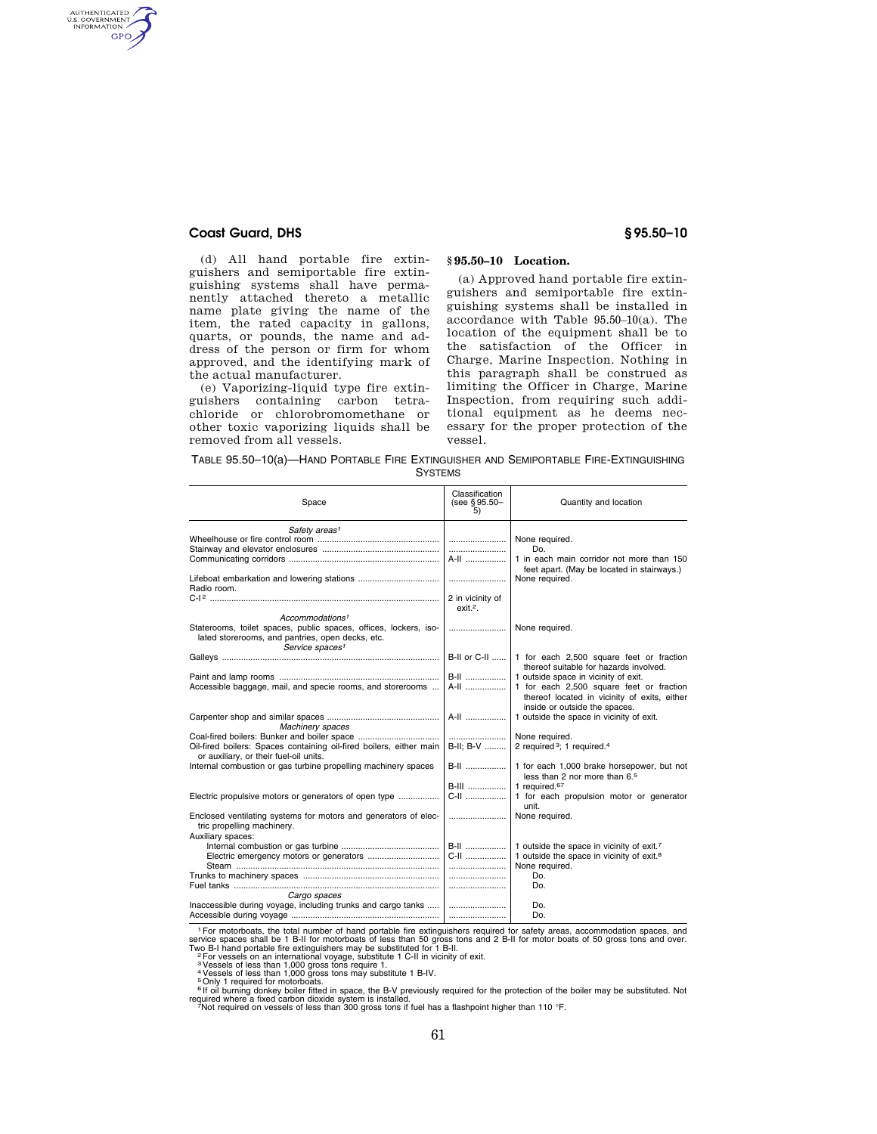# **Coast Guard, DHS § 95.50–10**

AUTHENTICATED **GPO** 

> (d) All hand portable fire extinguishers and semiportable fire extinguishing systems shall have permanently attached thereto a metallic name plate giving the name of the item, the rated capacity in gallons, quarts, or pounds, the name and address of the person or firm for whom approved, and the identifying mark of the actual manufacturer.

> (e) Vaporizing-liquid type fire extinguishers containing carbon tetrachloride or chlorobromomethane or other toxic vaporizing liquids shall be removed from all vessels.

# **§ 95.50–10 Location.**

(a) Approved hand portable fire extinguishers and semiportable fire extinguishing systems shall be installed in accordance with Table 95.50–10(a). The location of the equipment shall be to the satisfaction of the Officer in Charge, Marine Inspection. Nothing in this paragraph shall be construed as limiting the Officer in Charge, Marine Inspection, from requiring such additional equipment as he deems necessary for the proper protection of the vessel.

| TABLE 95.50-10(a)-HAND PORTABLE FIRE EXTINGUISHER AND SEMIPORTABLE FIRE-EXTINGUISHING |
|---------------------------------------------------------------------------------------|
| <b>SYSTEMS</b>                                                                        |

| Space                                                                                                                                               | Classification<br>(see §95.50-<br>5) | Quantity and location                                                                                                                                             |
|-----------------------------------------------------------------------------------------------------------------------------------------------------|--------------------------------------|-------------------------------------------------------------------------------------------------------------------------------------------------------------------|
| Safety areas <sup>1</sup>                                                                                                                           | A-II                                 | None required.<br>Do.<br>1 in each main corridor not more than 150<br>feet apart. (May be located in stairways.)                                                  |
| Radio room.                                                                                                                                         | 2 in vicinity of                     | None required.                                                                                                                                                    |
| Accommodations <sup>1</sup>                                                                                                                         | $ext{ext}.2$ .                       |                                                                                                                                                                   |
| Staterooms, toilet spaces, public spaces, offices, lockers, iso-<br>lated storerooms, and pantries, open decks, etc.<br>Service spaces <sup>1</sup> |                                      | None required.                                                                                                                                                    |
|                                                                                                                                                     | B-II or C-II                         | 1 for each 2,500 square feet or fraction<br>thereof suitable for hazards involved.                                                                                |
| Accessible baggage, mail, and specie rooms, and storerooms                                                                                          | <b>B-II</b><br>A-II                  | 1 outside space in vicinity of exit.<br>1 for each 2,500 square feet or fraction<br>thereof located in vicinity of exits, either<br>inside or outside the spaces. |
| Machinery spaces                                                                                                                                    | A-II                                 | 1 outside the space in vicinity of exit.                                                                                                                          |
| Oil-fired boilers: Spaces containing oil-fired boilers, either main<br>or auxiliary, or their fuel-oil units.                                       | <br>B-II: B-V                        | None required.<br>2 required <sup>3</sup> ; 1 required. <sup>4</sup>                                                                                              |
| Internal combustion or gas turbine propelling machinery spaces                                                                                      | <b>B-II</b><br><b>B-III</b>          | 1 for each 1,000 brake horsepower, but not<br>less than 2 nor more than 6.5<br>1 required. <sup>67</sup>                                                          |
| Electric propulsive motors or generators of open type                                                                                               | C-II                                 | 1 for each propulsion motor or generator<br>unit.                                                                                                                 |
| Enclosed ventilating systems for motors and generators of elec-<br>tric propelling machinery.<br>Auxiliary spaces:                                  |                                      | None required.                                                                                                                                                    |
|                                                                                                                                                     | <b>B-II</b><br>C-II                  | 1 outside the space in vicinity of exit.7<br>1 outside the space in vicinity of exit. <sup>8</sup><br>None required.                                              |
| Cargo spaces                                                                                                                                        |                                      | Do.<br>Do.                                                                                                                                                        |
|                                                                                                                                                     |                                      | Do.<br>Do.                                                                                                                                                        |

<sup>1</sup> For motorboats, the total number of hand portable fire extinguishers required for safety areas, accommodation spaces, and<br>service spaces shall be 1 B-II for motorboats of less than 50 gross tons and 2 B-II for motor bo

<sup>6</sup> If oil burning donkey boiler fitted in space, the B-V previously required for the protection of the boiler may be substituted. Not<br>required where a fixed carbon dioxide system is installed.<br>7Not required on vessels of